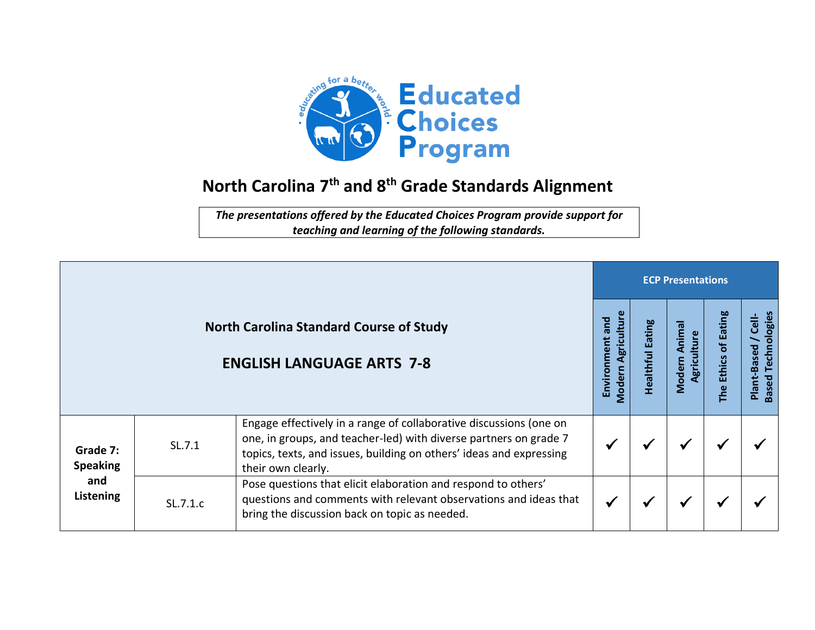

## **North Carolina 7 th and 8 th Grade Standards Alignment**

*The presentations offered by the Educated Choices Program provide support for teaching and learning of the following standards.*

|                                                 |          | <b>ECP Presentations</b>                                                                                                                                                                                                             |                                          |                           |                                |                                                              |                                                           |  |
|-------------------------------------------------|----------|--------------------------------------------------------------------------------------------------------------------------------------------------------------------------------------------------------------------------------------|------------------------------------------|---------------------------|--------------------------------|--------------------------------------------------------------|-----------------------------------------------------------|--|
|                                                 |          | <b>North Carolina Standard Course of Study</b><br><b>ENGLISH LANGUAGE ARTS 7-8</b>                                                                                                                                                   | Agriculture<br>Environment and<br>Modern | Eating<br><b>Healthfu</b> | Anima<br>Agriculture<br>Modern | <b>Eating</b><br>$\overline{\sigma}$<br><b>Ethics</b><br>The | <b>Based Technologies</b><br>$\frac{1}{6}$<br>Plant-Based |  |
| Grade 7:<br><b>Speaking</b><br>and<br>Listening | SL.7.1   | Engage effectively in a range of collaborative discussions (one on<br>one, in groups, and teacher-led) with diverse partners on grade 7<br>topics, texts, and issues, building on others' ideas and expressing<br>their own clearly. |                                          |                           |                                |                                                              |                                                           |  |
|                                                 | SL.7.1.c | Pose questions that elicit elaboration and respond to others'<br>questions and comments with relevant observations and ideas that<br>bring the discussion back on topic as needed.                                                   |                                          |                           | M                              |                                                              |                                                           |  |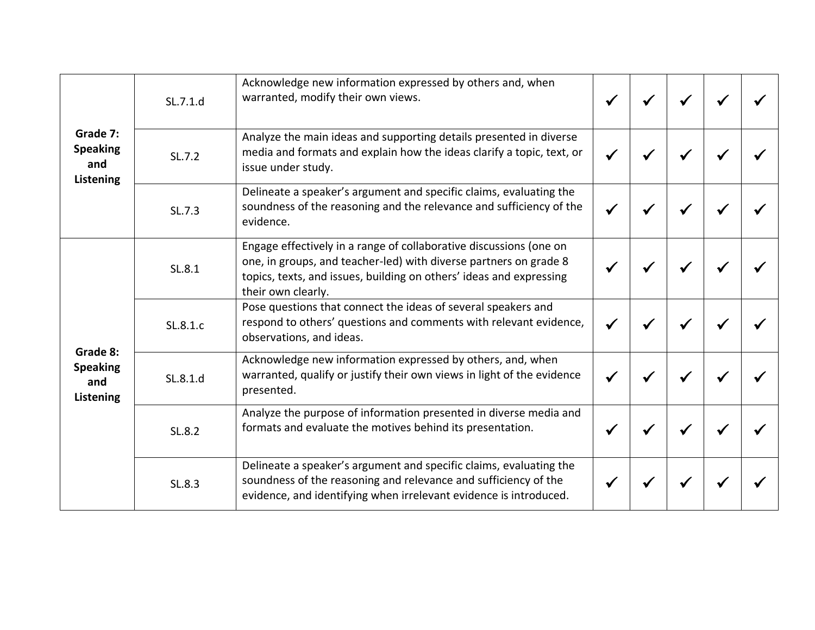| Grade 7:<br><b>Speaking</b><br>and<br>Listening | SL.7.1.d | Acknowledge new information expressed by others and, when<br>warranted, modify their own views.                                                                                                                                      |  |  |  |
|-------------------------------------------------|----------|--------------------------------------------------------------------------------------------------------------------------------------------------------------------------------------------------------------------------------------|--|--|--|
|                                                 | SL.7.2   | Analyze the main ideas and supporting details presented in diverse<br>media and formats and explain how the ideas clarify a topic, text, or<br>issue under study.                                                                    |  |  |  |
|                                                 | SL.7.3   | Delineate a speaker's argument and specific claims, evaluating the<br>soundness of the reasoning and the relevance and sufficiency of the<br>evidence.                                                                               |  |  |  |
| Grade 8:<br><b>Speaking</b><br>and<br>Listening | SL.8.1   | Engage effectively in a range of collaborative discussions (one on<br>one, in groups, and teacher-led) with diverse partners on grade 8<br>topics, texts, and issues, building on others' ideas and expressing<br>their own clearly. |  |  |  |
|                                                 | SL.8.1.c | Pose questions that connect the ideas of several speakers and<br>respond to others' questions and comments with relevant evidence,<br>observations, and ideas.                                                                       |  |  |  |
|                                                 | SL.8.1.d | Acknowledge new information expressed by others, and, when<br>warranted, qualify or justify their own views in light of the evidence<br>presented.                                                                                   |  |  |  |
|                                                 | SL.8.2   | Analyze the purpose of information presented in diverse media and<br>formats and evaluate the motives behind its presentation.                                                                                                       |  |  |  |
|                                                 | SL.8.3   | Delineate a speaker's argument and specific claims, evaluating the<br>soundness of the reasoning and relevance and sufficiency of the<br>evidence, and identifying when irrelevant evidence is introduced.                           |  |  |  |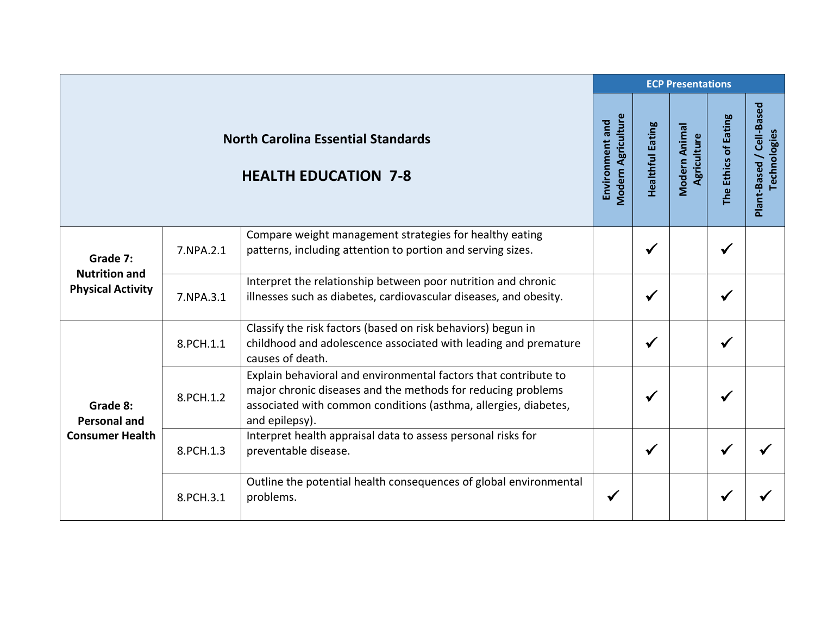|                                                  |           |                                                                                                                                                                                                                      |                                       | <b>ECP Presentations</b> |                              |                      |                                          |  |  |  |
|--------------------------------------------------|-----------|----------------------------------------------------------------------------------------------------------------------------------------------------------------------------------------------------------------------|---------------------------------------|--------------------------|------------------------------|----------------------|------------------------------------------|--|--|--|
|                                                  |           | <b>North Carolina Essential Standards</b><br><b>HEALTH EDUCATION 7-8</b>                                                                                                                                             | Modern Agriculture<br>Environment and | <b>Healthful Eating</b>  | Modern Animal<br>Agriculture | The Ethics of Eating | Plant-Based / Cell-Based<br>Technologies |  |  |  |
| Grade 7:                                         | 7.NPA.2.1 | Compare weight management strategies for healthy eating<br>patterns, including attention to portion and serving sizes.                                                                                               |                                       | $\checkmark$             |                              | ✔                    |                                          |  |  |  |
| <b>Nutrition and</b><br><b>Physical Activity</b> | 7.NPA.3.1 | Interpret the relationship between poor nutrition and chronic<br>illnesses such as diabetes, cardiovascular diseases, and obesity.                                                                                   |                                       | $\checkmark$             |                              | ✔                    |                                          |  |  |  |
|                                                  | 8.PCH.1.1 | Classify the risk factors (based on risk behaviors) begun in<br>childhood and adolescence associated with leading and premature<br>causes of death.                                                                  |                                       | ✔                        |                              | $\checkmark$         |                                          |  |  |  |
| Grade 8:<br><b>Personal and</b>                  | 8.PCH.1.2 | Explain behavioral and environmental factors that contribute to<br>major chronic diseases and the methods for reducing problems<br>associated with common conditions (asthma, allergies, diabetes,<br>and epilepsy). |                                       | ✔                        |                              | ✔                    |                                          |  |  |  |
| <b>Consumer Health</b>                           | 8.PCH.1.3 | Interpret health appraisal data to assess personal risks for<br>preventable disease.                                                                                                                                 |                                       | $\checkmark$             |                              |                      |                                          |  |  |  |
|                                                  | 8.PCH.3.1 | Outline the potential health consequences of global environmental<br>problems.                                                                                                                                       | $\checkmark$                          |                          |                              |                      |                                          |  |  |  |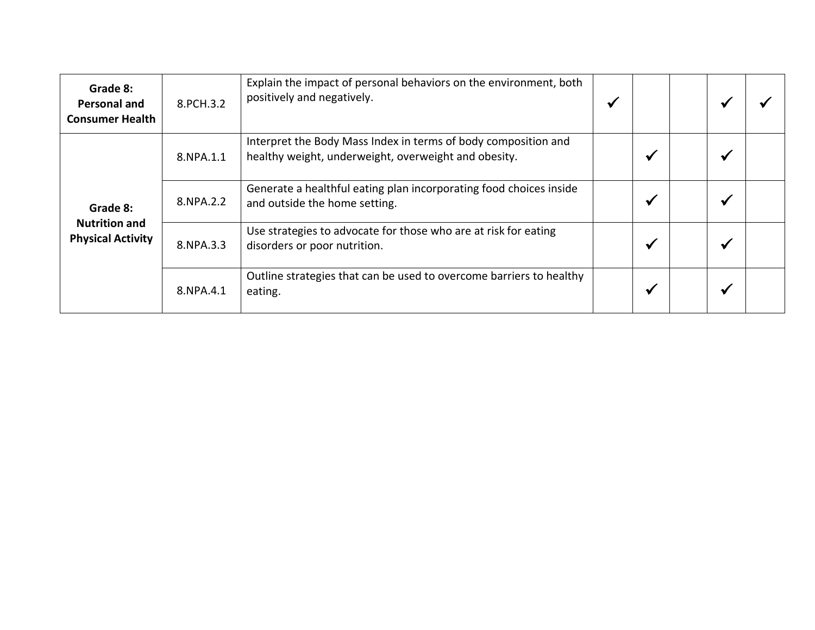| Grade 8:<br><b>Personal and</b><br><b>Consumer Health</b> | 8.PCH.3.2 | Explain the impact of personal behaviors on the environment, both<br>positively and negatively.                        | ✔ |              |              |  |
|-----------------------------------------------------------|-----------|------------------------------------------------------------------------------------------------------------------------|---|--------------|--------------|--|
|                                                           | 8.NPA.1.1 | Interpret the Body Mass Index in terms of body composition and<br>healthy weight, underweight, overweight and obesity. |   | ✔            | $\checkmark$ |  |
| Grade 8:                                                  | 8.NPA.2.2 | Generate a healthful eating plan incorporating food choices inside<br>and outside the home setting.                    |   | ✔            | ✔            |  |
| <b>Nutrition and</b><br><b>Physical Activity</b>          | 8.NPA.3.3 | Use strategies to advocate for those who are at risk for eating<br>disorders or poor nutrition.                        |   | $\checkmark$ | ✔            |  |
|                                                           | 8.NPA.4.1 | Outline strategies that can be used to overcome barriers to healthy<br>eating.                                         |   | √            | ✔            |  |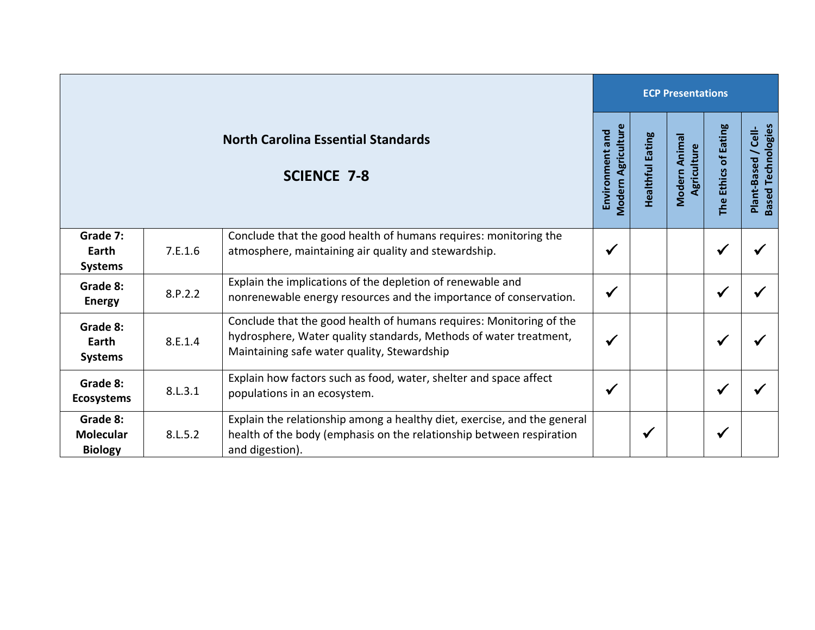|                                                                 |         |                                                                                                                                                                                         |              | <b>ECP Presentations</b> |                              |                      |                                                  |  |  |  |
|-----------------------------------------------------------------|---------|-----------------------------------------------------------------------------------------------------------------------------------------------------------------------------------------|--------------|--------------------------|------------------------------|----------------------|--------------------------------------------------|--|--|--|
| <b>North Carolina Essential Standards</b><br><b>SCIENCE 7-8</b> |         |                                                                                                                                                                                         |              | <b>Healthful Eating</b>  | Modern Animal<br>Agriculture | The Ethics of Eating | <b>Based Technologies</b><br>Plant-Based / Cell- |  |  |  |
| Grade 7:<br>Earth<br><b>Systems</b>                             | 7.E.1.6 | Conclude that the good health of humans requires: monitoring the<br>atmosphere, maintaining air quality and stewardship.                                                                | $\checkmark$ |                          |                              | $\checkmark$         |                                                  |  |  |  |
| Grade 8:<br><b>Energy</b>                                       | 8.P.2.2 | Explain the implications of the depletion of renewable and<br>nonrenewable energy resources and the importance of conservation.                                                         | $\checkmark$ |                          |                              | $\checkmark$         |                                                  |  |  |  |
| Grade 8:<br>Earth<br><b>Systems</b>                             | 8.E.1.4 | Conclude that the good health of humans requires: Monitoring of the<br>hydrosphere, Water quality standards, Methods of water treatment,<br>Maintaining safe water quality, Stewardship | $\checkmark$ |                          |                              | ✔                    |                                                  |  |  |  |
| Grade 8:<br><b>Ecosystems</b>                                   | 8.L.3.1 | Explain how factors such as food, water, shelter and space affect<br>populations in an ecosystem.                                                                                       | $\checkmark$ |                          |                              | $\checkmark$         |                                                  |  |  |  |
| Grade 8:<br><b>Molecular</b><br><b>Biology</b>                  | 8.L.5.2 | Explain the relationship among a healthy diet, exercise, and the general<br>health of the body (emphasis on the relationship between respiration<br>and digestion).                     |              | $\checkmark$             |                              | ✔                    |                                                  |  |  |  |